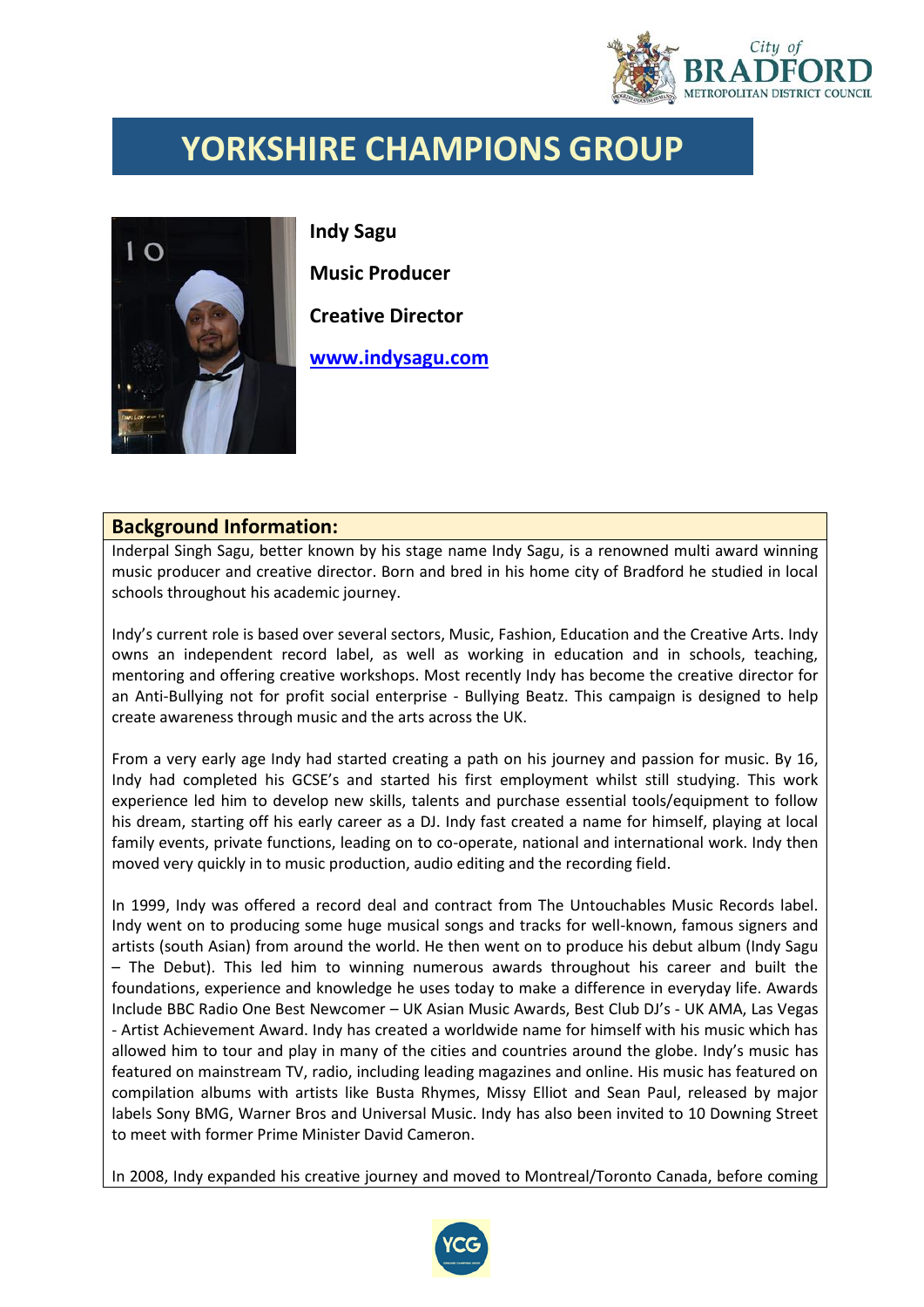

## **YORKSHIRE CHAMPIONS GROUP**



**Indy Sagu Music Producer Creative Director**

**[www.indysagu.com](http://www.indysagu.com/)**

## **Background Information:**

Inderpal Singh Sagu, better known by his stage name Indy Sagu, is a renowned multi award winning music producer and creative director. Born and bred in his home city of Bradford he studied in local schools throughout his academic journey.

Indy's current role is based over several sectors, Music, Fashion, Education and the Creative Arts. Indy owns an independent record label, as well as working in education and in schools, teaching, mentoring and offering creative workshops. Most recently Indy has become the creative director for an Anti-Bullying not for profit social enterprise - Bullying Beatz. This campaign is designed to help create awareness through music and the arts across the UK.

From a very early age Indy had started creating a path on his journey and passion for music. By 16, Indy had completed his GCSE's and started his first employment whilst still studying. This work experience led him to develop new skills, talents and purchase essential tools/equipment to follow his dream, starting off his early career as a DJ. Indy fast created a name for himself, playing at local family events, private functions, leading on to co-operate, national and international work. Indy then moved very quickly in to music production, audio editing and the recording field.

In 1999, Indy was offered a record deal and contract from The Untouchables Music Records label. Indy went on to producing some huge musical songs and tracks for well-known, famous signers and artists (south Asian) from around the world. He then went on to produce his debut album (Indy Sagu – The Debut). This led him to winning numerous awards throughout his career and built the foundations, experience and knowledge he uses today to make a difference in everyday life. Awards Include BBC Radio One Best Newcomer – UK Asian Music Awards, Best Club DJ's - UK AMA, Las Vegas - Artist Achievement Award. Indy has created a worldwide name for himself with his music which has allowed him to tour and play in many of the cities and countries around the globe. Indy's music has featured on mainstream TV, radio, including leading magazines and online. His music has featured on compilation albums with artists like Busta Rhymes, Missy Elliot and Sean Paul, released by major labels Sony BMG, Warner Bros and Universal Music. Indy has also been invited to 10 Downing Street to meet with former Prime Minister David Cameron.

In 2008, Indy expanded his creative journey and moved to Montreal/Toronto Canada, before coming